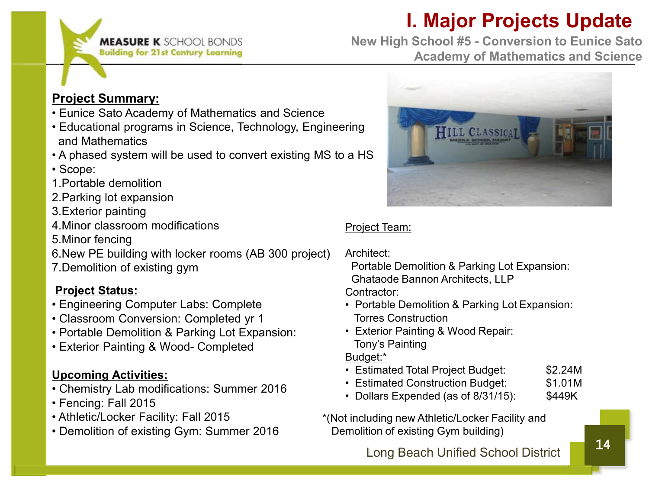# **I. Major Projects Update**



**New High School #5 - Conversion to Eunice Sato Academy of Mathematics and Science**

### **Project Summary:**

- Eunice Sato Academy of Mathematics and Science
- Educational programs in Science, Technology, Engineering and Mathematics
- A phased system will be used to convert existing MS to a HS
- Scope:
- 1.Portable demolition
- 2.Parking lot expansion
- 3.Exterior painting
- 4.Minor classroom modifications
- 5.Minor fencing
- 6.New PE building with locker rooms (AB 300 project)
- 7.Demolition of existing gym

### **Project Status:**

- Engineering Computer Labs: Complete
- Classroom Conversion: Completed yr 1
- Portable Demolition & Parking Lot Expansion:
- Exterior Painting & Wood- Completed

### **Upcoming Activities:**

- Chemistry Lab modifications: Summer 2016
- Fencing: Fall 2015
- Athletic/Locker Facility: Fall 2015
- Demolition of existing Gym: Summer 2016



### Project Team:

Architect:

Portable Demolition & Parking Lot Expansion: Ghataode Bannon Architects, LLP

Contractor:

- Portable Demolition & Parking Lot Expansion: Torres Construction
- Exterior Painting & Wood Repair: Tony's Painting

Budget:\*

- Estimated Total Project Budget: \$2.24M
- Estimated Construction Budget: \$1.01M
- Dollars Expended (as of 8/31/15): \$449K

\*(Not including new Athletic/Locker Facility and Demolition of existing Gym building)

Long Beach Unified School District 14